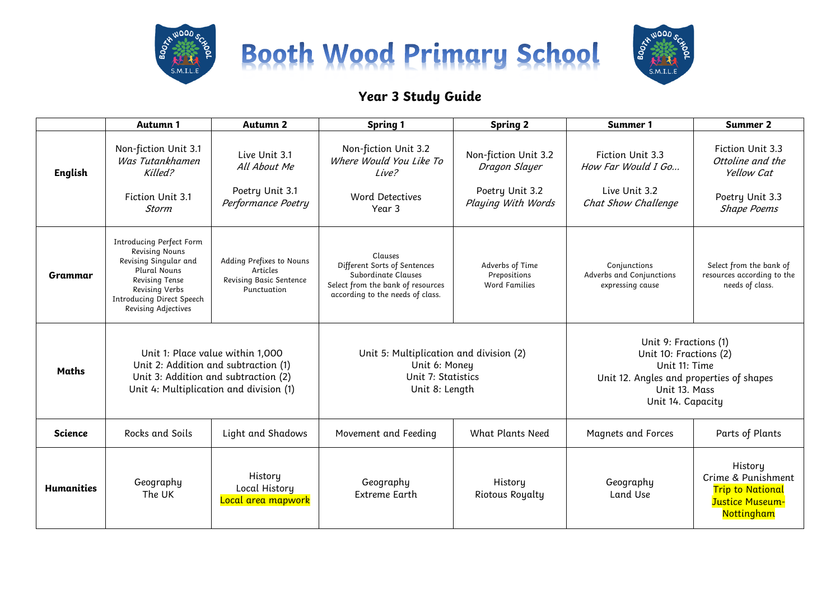





## **Year 3 Study Guide**

|                   | Autumn 1                                                                                                                                                                                                | <b>Autumn 2</b>                                                                | <b>Spring 1</b>                                                                                                                         | <b>Spring 2</b>                                                                | Summer 1                                                                                                                                           | <b>Summer 2</b>                                                                             |
|-------------------|---------------------------------------------------------------------------------------------------------------------------------------------------------------------------------------------------------|--------------------------------------------------------------------------------|-----------------------------------------------------------------------------------------------------------------------------------------|--------------------------------------------------------------------------------|----------------------------------------------------------------------------------------------------------------------------------------------------|---------------------------------------------------------------------------------------------|
| <b>English</b>    | Non-fiction Unit 3.1<br>Was Tutankhamen<br>Killed?<br>Fiction Unit 3.1<br><b>Storm</b>                                                                                                                  | Live Unit 3.1<br>All About Me<br>Poetry Unit 3.1<br>Performance Poetry         | Non-fiction Unit 3.2<br>Where Would You Like To<br>Live?<br><b>Word Detectives</b><br>Year 3                                            | Non-fiction Unit 3.2<br>Dragon Slayer<br>Poetry Unit 3.2<br>Playing With Words | Fiction Unit 3.3<br>How Far Would I Go<br>Live Unit 3.2<br>Chat Show Challenge                                                                     | Fiction Unit 3.3<br>Ottoline and the<br>Yellow Cat<br>Poetry Unit 3.3<br><b>Shape Poems</b> |
| Grammar           | <b>Introducing Perfect Form</b><br><b>Revising Nouns</b><br>Revising Singular and<br>Plural Nouns<br><b>Revising Tense</b><br>Revising Verbs<br><b>Introducing Direct Speech</b><br>Revising Adjectives | Adding Prefixes to Nouns<br>Articles<br>Revising Basic Sentence<br>Punctuation | Clauses<br>Different Sorts of Sentences<br>Subordinate Clauses<br>Select from the bank of resources<br>according to the needs of class. | Adverbs of Time<br>Prepositions<br><b>Word Families</b>                        | Conjunctions<br>Adverbs and Conjunctions<br>expressing cause                                                                                       | Select from the bank of<br>resources according to the<br>needs of class.                    |
| Maths             | Unit 1: Place value within 1,000<br>Unit 2: Addition and subtraction (1)<br>Unit 3: Addition and subtraction (2)<br>Unit 4: Multiplication and division (1)                                             |                                                                                | Unit 5: Multiplication and division (2)<br>Unit 6: Money<br>Unit 7: Statistics<br>Unit 8: Length                                        |                                                                                | Unit 9: Fractions (1)<br>Unit 10: Fractions (2)<br>Unit 11: Time<br>Unit 12. Angles and properties of shapes<br>Unit 13. Mass<br>Unit 14. Capacity |                                                                                             |
| <b>Science</b>    | Rocks and Soils                                                                                                                                                                                         | Light and Shadows                                                              | Movement and Feeding                                                                                                                    | <b>What Plants Need</b>                                                        | <b>Magnets and Forces</b>                                                                                                                          | Parts of Plants                                                                             |
| <b>Humanities</b> | Geography<br>The UK                                                                                                                                                                                     | History<br>Local History<br>Local area mapwork                                 | Geography<br><b>Extreme Earth</b>                                                                                                       | History<br><b>Riotous Royalty</b>                                              | Geography<br><b>Land Use</b>                                                                                                                       | History<br>Crime & Punishment<br><b>Trip to National</b><br>Justice Museum-<br>Nottingham   |